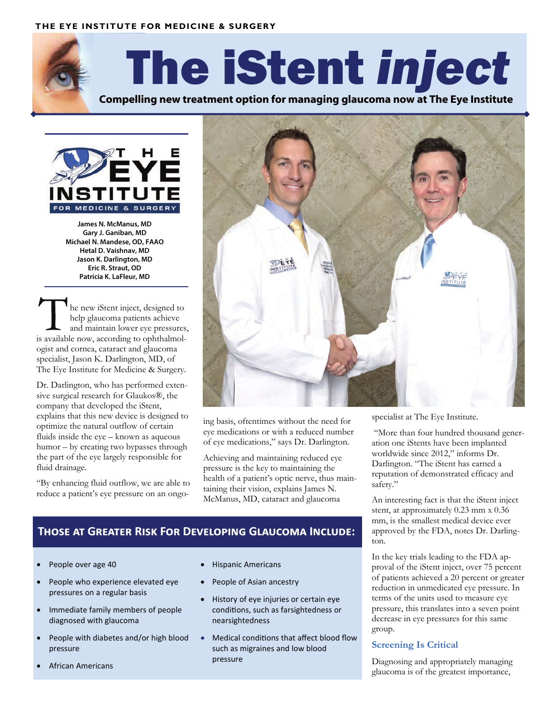#### **THE EYE INSTITUTE FOR MEDICINE & SURGERY**



# The iStent *inject*

**Compelling new treatment option for managing glaucoma now at The Eye Institute** 



**James N. McManus, MD Gary J. Ganiban, MD Michael N. Mandese, OD, FAAO Hetal D. Vaishnav, MD Jason K. Darlington, MD Eric R. Straut, OD Patricia K. LaFleur, MD**

he new iStent inject, designed to help glaucoma patients achieve and maintain lower eye pressures, is available now, according to ophthalmologist and cornea, cataract and glaucoma specialist, Jason K. Darlington, MD, of The Eye Institute for Medicine & Surgery.

Dr. Darlington, who has performed extensive surgical research for Glaukos®, the company that developed the iStent, explains that this new device is designed to optimize the natural outflow of certain fluids inside the eye – known as aqueous humor – by creating two bypasses through the part of the eye largely responsible for fluid drainage.

"By enhancing fluid outflow, we are able to reduce a patient's eye pressure on an ongo-



ing basis, oftentimes without the need for eye medications or with a reduced number of eye medications," says Dr. Darlington.

Achieving and maintaining reduced eye pressure is the key to maintaining the health of a patient's optic nerve, thus maintaining their vision, explains James N. McManus, MD, cataract and glaucoma

### **THOSE AT GREATER RISK FOR DEVELOPING GLAUCOMA INCLUDE:**

- People over age 40
- People who experience elevated eye pressures on a regular basis
- Immediate family members of people diagnosed with glaucoma
- People with diabetes and/or high blood pressure
- African Americans
- Hispanic Americans
- People of Asian ancestry
- History of eye injuries or certain eye conditions, such as farsightedness or nearsightedness
- Medical conditions that affect blood flow such as migraines and low blood pressure

specialist at The Eye Institute.

 "More than four hundred thousand generation one iStents have been implanted worldwide since 2012," informs Dr. Darlington. "The iStent has earned a reputation of demonstrated efficacy and safety."

An interesting fact is that the iStent inject stent, at approximately 0.23 mm x 0.36 mm, is the smallest medical device ever approved by the FDA, notes Dr. Darlington.

In the key trials leading to the FDA approval of the iStent inject, over 75 percent of patients achieved a 20 percent or greater reduction in unmedicated eye pressure. In terms of the units used to measure eye pressure, this translates into a seven point decrease in eye pressures for this same group.

#### **Screening Is Critical**

Diagnosing and appropriately managing glaucoma is of the greatest importance,